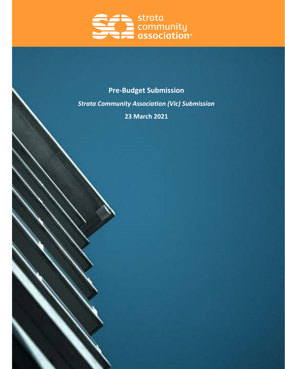

# Pre-Budget Submission

Strata Community Association (Vic) Submission

23 March 2021

 $\sim$   $\sim$   $\sim$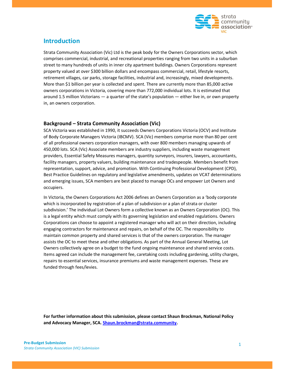

## Introduction

Strata Community Association (Vic) Ltd is the peak body for the Owners Corporations sector, which comprises commercial, industrial, and recreational properties ranging from two units in a suburban street to many hundreds of units in inner city apartment buildings. Owners Corporations represent property valued at over \$300 billion dollars and encompass commercial, retail, lifestyle resorts, retirement villages, car parks, storage facilities, industrial and, increasingly, mixed developments. More than \$1 billion per year is collected and spent. There are currently more than 85,000 active owners corporations in Victoria, covering more than 772,000 individual lots. It is estimated that around 1.5 million Victorians — a quarter of the state's population — either live in, or own property in, an owners corporation.

### Background – Strata Community Association (Vic)

SCA Victoria was established in 1990, it succeeds Owners Corporations Victoria (OCV) and Institute of Body Corporate Managers Victoria (IBCMV). SCA (Vic) members comprise more than 80 per cent of all professional owners corporation managers, with over 800 members managing upwards of 450,000 lots. SCA (Vic) Associate members are industry suppliers, including waste management providers, Essential Safety Measures managers, quantity surveyors, insurers, lawyers, accountants, facility managers, property valuers, building maintenance and tradespeople. Members benefit from representation, support, advice, and promotion. With Continuing Professional Development (CPD), Best Practice Guidelines on regulatory and legislative amendments, updates on VCAT determinations and emerging issues, SCA members are best placed to manage OCs and empower Lot Owners and occupiers.

In Victoria, the Owners Corporations Act 2006 defines an Owners Corporation as a 'body corporate which is incorporated by registration of a plan of subdivision or a plan of strata or cluster subdivision.' The individual Lot Owners form a collective known as an Owners Corporation (OC). This is a legal entity which must comply with its governing legislation and enabled regulations. Owners Corporations can choose to appoint a registered manager who will act on their direction, including engaging contractors for maintenance and repairs, on behalf of the OC. The responsibility to maintain common property and shared services is that of the owners corporation. The manager assists the OC to meet these and other obligations. As part of the Annual General Meeting, Lot Owners collectively agree on a budget to the fund ongoing maintenance and shared service costs. Items agreed can include the management fee, caretaking costs including gardening, utility charges, repairs to essential services, insurance premiums and waste management expenses. These are funded through fees/levies.

For further information about this submission, please contact Shaun Brockman, National Policy and Advocacy Manager, SCA. Shaun.brockman@strata.community.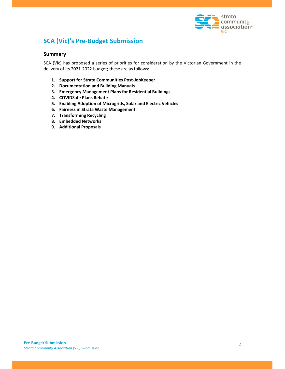

## SCA (Vic)'s Pre-Budget Submission

#### **Summary**

SCA (Vic) has proposed a series of priorities for consideration by the Victorian Government in the delivery of its 2021-2022 budget; these are as follows:

- 1. Support for Strata Communities Post-JobKeeper
- 2. Documentation and Building Manuals
- 3. Emergency Management Plans for Residential Buildings
- 4. COVIDSafe Plans Rebate
- 5. Enabling Adoption of Microgrids, Solar and Electric Vehicles
- 6. Fairness in Strata Waste Management
- 7. Transforming Recycling
- 8. Embedded Networks
- 9. Additional Proposals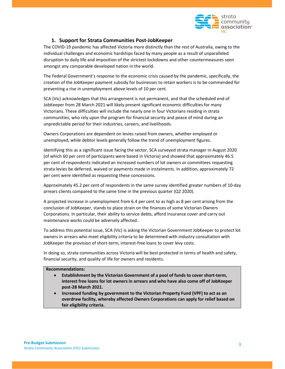

### 1. Support for Strata Communities Post-JobKeeper

The COVID-19 pandemic has affected Victoria more distinctly than the rest of Australia, owing to the individual challenges and economic hardships faced by many people as a result of unparalleled disruption to daily life and imposition of the strictest lockdowns and other countermeasures seen amongst any comparable developed nation in the world.

The Federal Government's response to the economic crisis caused by the pandemic, specifically, the creation of the JobKeeper payment subsidy for businesses to retain workers is to be commended for preventing a rise in unemployment above levels of 10 per cent.

SCA (Vic) acknowledges that this arrangement is not permanent, and that the scheduled end of JobKeeper from 28 March 2021 will likely present significant economic difficulties for many Victorians. These difficulties will include the nearly one in four Victorians residing in strata communities, who rely upon the program for financial security and peace of mind during an unpredictable period for their industries, careers, and livelihoods.

Owners Corporations are dependent on levies raised from owners, whether employed or unemployed, while debtor levels generally follow the trend of unemployment figures.

Identifying this as a significant issue facing the sector, SCA surveyed strata manager in August 2020 (of which 60 per cent of participants were based in Victoria) and showed that approximately 46.5 per cent of respondents indicated an increased numbers of lot owners or committees requesting strata levies be deferred, waived or payments made in instalments. In addition, approximately 72 per cent were identified as requesting these concessions.

Approximately 45.2 per cent of respondents in the same survey identified greater numbers of 10-day arrears clients compared to the same time in the previous quarter (Q2 2020).

A projected increase in unemployment from 6.4 per cent to as high as 8 per cent arising from the conclusion of JobKeeper, stands to place strain on the finances of some Victorian Owners Corporations. In particular, their ability to service debts, afford insurance cover and carry out maintenance works could be adversely affected.

To address this potential issue, SCA (Vic) is asking the Victorian Government JobKeeper to protect lot owners in arrears who meet eligibility criteria to be determined with industry consultation with JobKeeper the provision of short-term, interest-free loans to cover levy costs.

In doing so, strata communities across Victoria will be best protected in terms of health and safety, financial security, and quality of life for owners and residents.

#### Recommendations:

- Establishment by the Victorian Government of a pool of funds to cover short-term, interest free loans for lot owners in arrears and who have also come off of JobKeeper post-28 March 2021.
- Increased funding by government to the Victorian Property Fund (VPF) to act as an overdraw facility, whereby affected Owners Corporations can apply for relief based on fair eligibility criteria.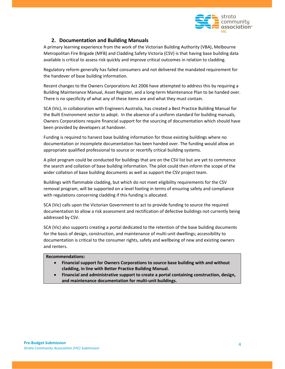

## 2. Documentation and Building Manuals

A primary learning experience from the work of the Victorian Building Authority (VBA), Melbourne Metropolitan Fire Brigade (MFB) and Cladding Safety Victoria (CSV) is that having base building data available is critical to assess risk quickly and improve critical outcomes in relation to cladding.

Regulatory reform generally has failed consumers and not delivered the mandated requirement for the handover of base building information.

Recent changes to the Owners Corporations Act 2006 have attempted to address this by requiring a Building Maintenance Manual, Asset Register, and a long-term Maintenance Plan to be handed over. There is no specificity of what any of these items are and what they must contain.

SCA (Vic), in collaboration with Engineers Australia, has created a Best Practice Building Manual for the Built Environment sector to adopt. In the absence of a uniform standard for building manuals, Owners Corporations require financial support for the sourcing of documentation which should have been provided by developers at handover.

Funding is required to harvest base building information for those existing buildings where no documentation or incomplete documentation has been handed over. The funding would allow an appropriate qualified professional to source or recertify critical building systems.

A pilot program could be conducted for buildings that are on the CSV list but are yet to commence the search and collation of base building information. The pilot could then inform the scope of the wider collation of base building documents as well as support the CSV project team.

Buildings with flammable cladding, but which do not meet eligibility requirements for the CSV removal program, will be supported on a level footing in terms of ensuring safety and compliance with regulations concerning cladding if this funding is allocated.

SCA (Vic) calls upon the Victorian Government to act to provide funding to source the required documentation to allow a risk assessment and rectification of defective buildings not currently being addressed by CSV.

SCA (Vic) also supports creating a portal dedicated to the retention of the base building documents for the basis of design, construction, and maintenance of multi-unit dwellings; accessibility to documentation is critical to the consumer rights, safety and wellbeing of new and existing owners and renters.

#### Recommendations:

- Financial support for Owners Corporations to source base building with and without cladding, in line with Better Practice Building Manual.
- Financial and administrative support to create a portal containing construction, design, and maintenance documentation for multi-unit buildings.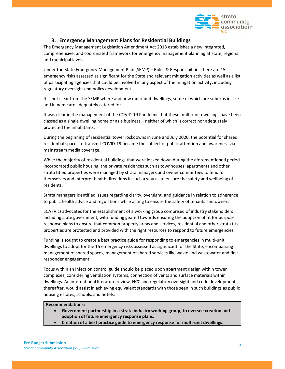

### 3. Emergency Management Plans for Residential Buildings

The Emergency Management Legislation Amendment Act 2018 establishes a new integrated, comprehensive, and coordinated framework for emergency management planning at state, regional and municipal levels.

Under the State Emergency Management Plan (SEMP) – Roles & Responsibilities there are 15 emergency risks assessed as significant for the State and relevant mitigation activities as well as a list of participating agencies that could be involved in any aspect of the mitigation activity, including regulatory oversight and policy development.

It is not clear from the SEMP where and how multi-unit dwellings, some of which are suburbs in size and in name are adequately catered for.

It was clear in the management of the COVID-19 Pandemic that these multi-unit dwellings have been classed as a single dwelling home or as a business – neither of which is correct nor adequately protected the inhabitants.

During the beginning of residential tower lockdowns in June and July 2020, the potential for shared residential spaces to transmit COVID-19 became the subject of public attention and awareness via mainstream media coverage.

While the majority of residential buildings that were locked down during the aforementioned period incorporated public housing, the private residences such as townhouses, apartments and other strata titled properties were managed by strata managers and owner committees to fend for themselves and interpret health directions in such a way as to ensure the safety and wellbeing of residents.

Strata managers identified issues regarding clarity, oversight, and guidance in relation to adherence to public health advice and regulations while acting to ensure the safety of tenants and owners.

SCA (Vic) advocates for the establishment of a working group comprised of industry stakeholders including state government, with funding geared towards ensuring the adoption of fit for purpose response plans to ensure that common property areas and services, residential and other strata title properties are protected and provided with the right resources to respond to future emergencies.

Funding is sought to create a best practice guide for responding to emergencies in multi-unit dwellings to adopt for the 15 emergency risks assessed as significant for the State, encompassing management of shared spaces, management of shared services like waste and wastewater and first responder engagement.

Focus within an infection control guide should be placed upon apartment design within tower complexes, considering ventilation systems, connection of vents and surface materials within dwellings. An international literature review, NCC and regulatory oversight and code developments, thereafter, would assist in achieving equivalent standards with those seen in such buildings as public housing estates, schools, and hotels.

#### Recommendations:

- Government partnership in a strata industry working group, to oversee creation and adoption of future emergency response plans.
- Creation of a best practice guide to emergency response for multi-unit dwellings.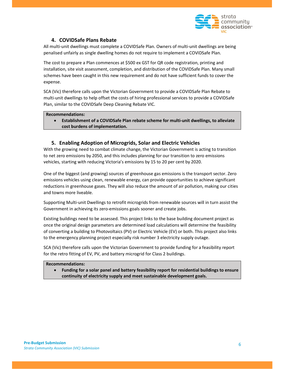

## 4. COVIDSafe Plans Rebate

All multi-unit dwellings must complete a COVIDSafe Plan. Owners of multi-unit dwellings are being penalised unfairly as single dwelling homes do not require to implement a COVIDSafe Plan.

The cost to prepare a Plan commences at \$500 ex GST for QR code registration, printing and installation, site visit assessment, completion, and distribution of the COVIDSafe Plan. Many small schemes have been caught in this new requirement and do not have sufficient funds to cover the expense.

SCA (Vic) therefore calls upon the Victorian Government to provide a COVIDSafe Plan Rebate to multi-unit dwellings to help offset the costs of hiring professional services to provide a COVIDSafe Plan, similar to the COVIDSafe Deep Cleaning Rebate VIC.

Recommendations:

 Establishment of a COVIDSafe Plan rebate scheme for multi-unit dwellings, to alleviate cost burdens of implementation.

## 5. Enabling Adoption of Microgrids, Solar and Electric Vehicles

With the growing need to combat climate change, the Victorian Government is acting to transition to net zero emissions by 2050, and this includes planning for our transition to zero emissions vehicles, starting with reducing Victoria's emissions by 15 to 20 per cent by 2020.

One of the biggest (and growing) sources of greenhouse gas emissions is the transport sector. Zero emissions vehicles using clean, renewable energy, can provide opportunities to achieve significant reductions in greenhouse gases. They will also reduce the amount of air pollution, making our cities and towns more liveable.

Supporting Multi-unit Dwellings to retrofit microgrids from renewable sources will in turn assist the Government in achieving its zero-emissions goals sooner and create jobs.

Existing buildings need to be assessed. This project links to the base building document project as once the original design parameters are determined load calculations will determine the feasibility of converting a building to Photovoltaics (PV) or Electric Vehicle (EV) or both. This project also links to the emergency planning project especially risk number 3 electricity supply outage.

SCA (Vic) therefore calls upon the Victorian Government to provide funding for a feasibility report for the retro fitting of EV, PV, and battery microgrid for Class 2 buildings.

#### Recommendations:

 Funding for a solar panel and battery feasibility report for residential buildings to ensure continuity of electricity supply and meet sustainable development goals.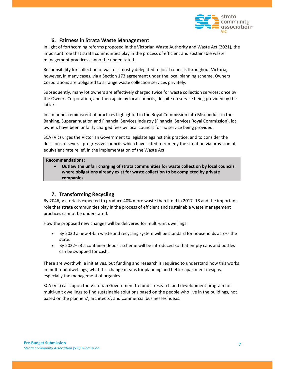

## 6. Fairness in Strata Waste Management

In light of forthcoming reforms proposed in the Victorian Waste Authority and Waste Act (2021), the important role that strata communities play in the process of efficient and sustainable waste management practices cannot be understated.

Responsibility for collection of waste is mostly delegated to local councils throughout Victoria, however, in many cases, via a Section 173 agreement under the local planning scheme, Owners Corporations are obligated to arrange waste collection services privately.

Subsequently, many lot owners are effectively charged twice for waste collection services; once by the Owners Corporation, and then again by local councils, despite no service being provided by the latter.

In a manner reminiscent of practices highlighted in the Royal Commission into Misconduct in the Banking, Superannuation and Financial Services Industry (Financial Services Royal Commission), lot owners have been unfairly charged fees by local councils for no service being provided.

SCA (Vic) urges the Victorian Government to legislate against this practice, and to consider the decisions of several progressive councils which have acted to remedy the situation via provision of equivalent rate relief, in the implementation of the Waste Act.

#### Recommendations:

 Outlaw the unfair charging of strata communities for waste collection by local councils where obligations already exist for waste collection to be completed by private companies.

## 7. Transforming Recycling

By 2046, Victoria is expected to produce 40% more waste than it did in 2017–18 and the important role that strata communities play in the process of efficient and sustainable waste management practices cannot be understated.

How the proposed new changes will be delivered for multi-unit dwellings:

- By 2030 a new 4-bin waste and recycling system will be standard for households across the state.
- By 2022–23 a container deposit scheme will be introduced so that empty cans and bottles can be swapped for cash.

These are worthwhile initiatives, but funding and research is required to understand how this works in multi-unit dwellings, what this change means for planning and better apartment designs, especially the management of organics.

SCA (Vic) calls upon the Victorian Government to fund a research and development program for multi-unit dwellings to find sustainable solutions based on the people who live in the buildings, not based on the planners', architects', and commercial businesses' ideas.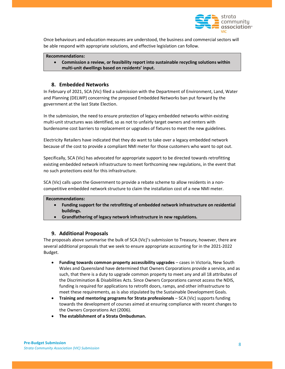

Once behaviours and education measures are understood, the business and commercial sectors will be able respond with appropriate solutions, and effective legislation can follow.

#### Recommendations:

 Commission a review, or feasibility report into sustainable recycling solutions within multi-unit dwellings based on residents' input.

#### 8. Embedded Networks

In February of 2021, SCA (Vic) filed a submission with the Department of Environment, Land, Water and Planning (DELWP) concerning the proposed Embedded Networks ban put forward by the government at the last State Election.

In the submission, the need to ensure protection of legacy embedded networks within existing multi-unit structures was identified, so as not to unfairly target owners and renters with burdensome cost barriers to replacement or upgrades of fixtures to meet the new guidelines.

Electricity Retailers have indicated that they do want to take over a legacy embedded network because of the cost to provide a compliant NMI meter for those customers who want to opt out.

Specifically, SCA (Vic) has advocated for appropriate support to be directed towards retrofitting existing embedded network infrastructure to meet forthcoming new regulations, in the event that no such protections exist for this infrastructure.

SCA (Vic) calls upon the Government to provide a rebate scheme to allow residents in a noncompetitive embedded network structure to claim the installation cost of a new NMI meter.

#### Recommendations:

- Funding support for the retrofitting of embedded network infrastructure on residential buildings.
- Grandfathering of legacy network infrastructure in new regulations.

#### 9. Additional Proposals

The proposals above summarise the bulk of SCA (Vic)'s submission to Treasury, however, there are several additional proposals that we seek to ensure appropriate accounting for in the 2021-2022 Budget.

- Funding towards common property accessibility upgrades cases in Victoria, New South Wales and Queensland have determined that Owners Corporations provide a service, and as such, that there is a duty to upgrade common property to meet any and all 18 attributes of the Discrimination & Disabilities Acts. Since Owners Corporations cannot access the NDIS, funding is required for applications to retrofit doors, ramps, and other infrastructure to meet these requirements, as is also stipulated by the Sustainable Development Goals.
- Training and mentoring programs for Strata professionals SCA (Vic) supports funding towards the development of courses aimed at ensuring compliance with recent changes to the Owners Corporations Act (2006).
- The establishment of a Strata Ombudsman.